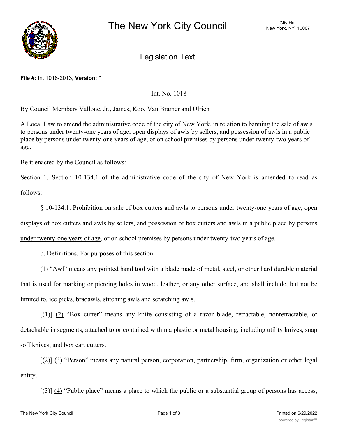

Legislation Text

## **File #:** Int 1018-2013, **Version:** \*

Int. No. 1018

By Council Members Vallone, Jr., James, Koo, Van Bramer and Ulrich

A Local Law to amend the administrative code of the city of New York, in relation to banning the sale of awls to persons under twenty-one years of age, open displays of awls by sellers, and possession of awls in a public place by persons under twenty-one years of age, or on school premises by persons under twenty-two years of age.

Be it enacted by the Council as follows:

Section 1. Section 10-134.1 of the administrative code of the city of New York is amended to read as follows:

§ 10-134.1. Prohibition on sale of box cutters and awls to persons under twenty-one years of age, open

displays of box cutters and awls by sellers, and possession of box cutters and awls in a public place by persons

under twenty-one years of age, or on school premises by persons under twenty-two years of age.

b. Definitions. For purposes of this section:

(1) "Awl" means any pointed hand tool with a blade made of metal, steel, or other hard durable material that is used for marking or piercing holes in wood, leather, or any other surface, and shall include, but not be limited to, ice picks, bradawls, stitching awls and scratching awls.

 $[(1)]$   $(2)$  "Box cutter" means any knife consisting of a razor blade, retractable, nonretractable, or detachable in segments, attached to or contained within a plastic or metal housing, including utility knives, snap -off knives, and box cart cutters.

[(2)] (3) "Person" means any natural person, corporation, partnership, firm, organization or other legal entity.

 $(3)$  (4) "Public place" means a place to which the public or a substantial group of persons has access,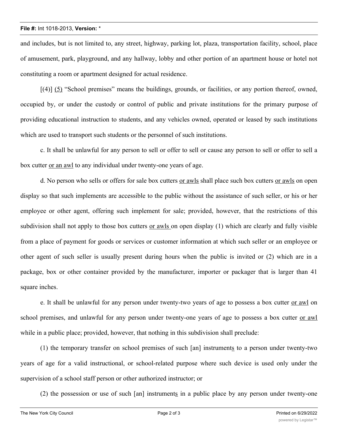## **File #:** Int 1018-2013, **Version:** \*

and includes, but is not limited to, any street, highway, parking lot, plaza, transportation facility, school, place of amusement, park, playground, and any hallway, lobby and other portion of an apartment house or hotel not constituting a room or apartment designed for actual residence.

[(4)] (5) "School premises" means the buildings, grounds, or facilities, or any portion thereof, owned, occupied by, or under the custody or control of public and private institutions for the primary purpose of providing educational instruction to students, and any vehicles owned, operated or leased by such institutions which are used to transport such students or the personnel of such institutions.

c. It shall be unlawful for any person to sell or offer to sell or cause any person to sell or offer to sell a box cutter or an awl to any individual under twenty-one years of age.

d. No person who sells or offers for sale box cutters or awls shall place such box cutters or awls on open display so that such implements are accessible to the public without the assistance of such seller, or his or her employee or other agent, offering such implement for sale; provided, however, that the restrictions of this subdivision shall not apply to those box cutters <u>or awls</u> on open display (1) which are clearly and fully visible from a place of payment for goods or services or customer information at which such seller or an employee or other agent of such seller is usually present during hours when the public is invited or (2) which are in a package, box or other container provided by the manufacturer, importer or packager that is larger than 41 square inches.

e. It shall be unlawful for any person under twenty-two years of age to possess a box cutter or awl on school premises, and unlawful for any person under twenty-one years of age to possess a box cutter or awl while in a public place; provided, however, that nothing in this subdivision shall preclude:

(1) the temporary transfer on school premises of such [an] instruments to a person under twenty-two years of age for a valid instructional, or school-related purpose where such device is used only under the supervision of a school staff person or other authorized instructor; or

(2) the possession or use of such [an] instruments in a public place by any person under twenty-one